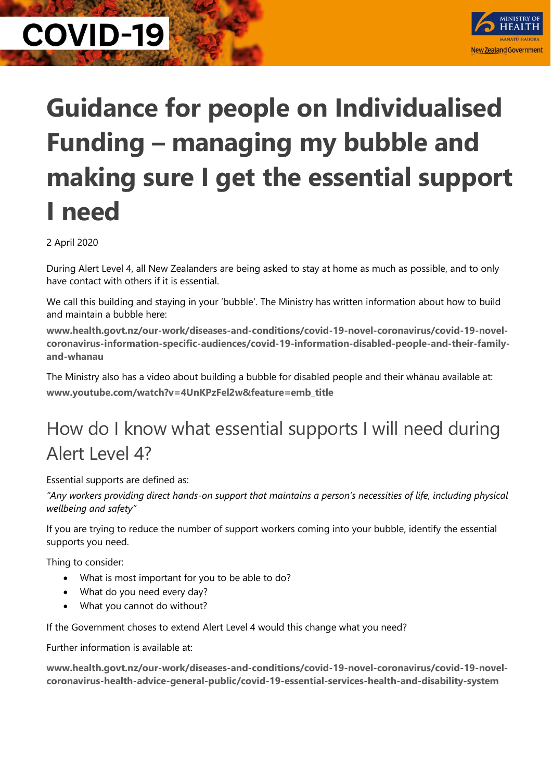

## **Guidance for people on Individualised Funding – managing my bubble and making sure I get the essential support I need**

2 April 2020

During Alert Level 4, all New Zealanders are being asked to stay at home as much as possible, and to only have contact with others if it is essential.

We call this building and staying in your 'bubble'. The Ministry has written information about how to build and maintain a bubble here:

**www.health.govt.nz/our-work/diseases-and-conditions/covid-19-novel-coronavirus/covid-19-novelcoronavirus-information-specific-audiences/covid-19-information-disabled-people-and-their-familyand-whanau**

The Ministry also has a video about building a bubble for disabled people and their whānau available at: **www.youtube.com/watch?v=4UnKPzFel2w&feature=emb\_title**

### How do I know what essential supports I will need during Alert Level 4?

Essential supports are defined as:

*"Any workers providing direct hands-on support that maintains a person's necessities of life, including physical wellbeing and safety"*

If you are trying to reduce the number of support workers coming into your bubble, identify the essential supports you need.

Thing to consider:

- What is most important for you to be able to do?
- What do you need every day?
- What you cannot do without?

If the Government choses to extend Alert Level 4 would this change what you need?

Further information is available at:

**www.health.govt.nz/our-work/diseases-and-conditions/covid-19-novel-coronavirus/covid-19-novelcoronavirus-health-advice-general-public/covid-19-essential-services-health-and-disability-system**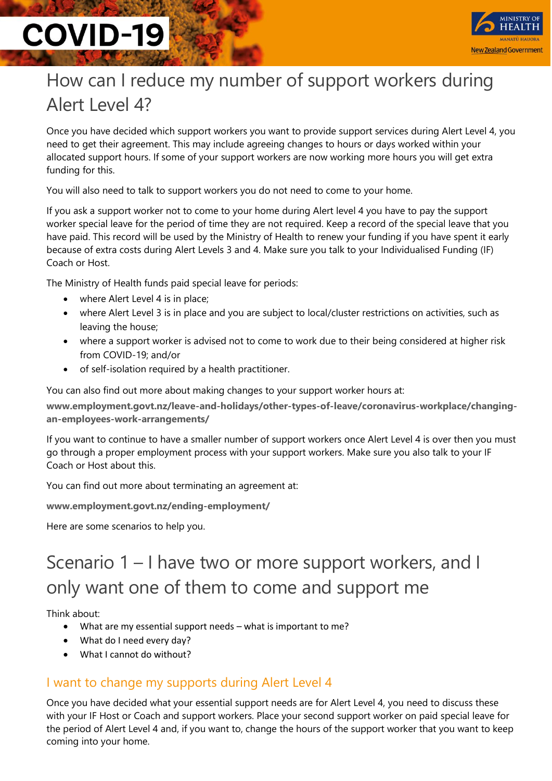

## How can I reduce my number of support workers during Alert Level 4?

Once you have decided which support workers you want to provide support services during Alert Level 4, you need to get their agreement. This may include agreeing changes to hours or days worked within your allocated support hours. If some of your support workers are now working more hours you will get extra funding for this.

You will also need to talk to support workers you do not need to come to your home.

If you ask a support worker not to come to your home during Alert level 4 you have to pay the support worker special leave for the period of time they are not required. Keep a record of the special leave that you have paid. This record will be used by the Ministry of Health to renew your funding if you have spent it early because of extra costs during Alert Levels 3 and 4. Make sure you talk to your Individualised Funding (IF) Coach or Host.

The Ministry of Health funds paid special leave for periods:

- where Alert Level 4 is in place;
- where Alert Level 3 is in place and you are subject to local/cluster restrictions on activities, such as leaving the house;
- where a support worker is advised not to come to work due to their being considered at higher risk from COVID-19; and/or
- of self-isolation required by a health practitioner.

You can also find out more about making changes to your support worker hours at:

**www.employment.govt.nz/leave-and-holidays/other-types-of-leave/coronavirus-workplace/changingan-employees-work-arrangements/**

If you want to continue to have a smaller number of support workers once Alert Level 4 is over then you must go through a proper employment process with your support workers. Make sure you also talk to your IF Coach or Host about this.

You can find out more about terminating an agreement at:

**www.employment.govt.nz/ending-employment/**

Here are some scenarios to help you.

### Scenario 1 – I have two or more support workers, and I only want one of them to come and support me

Think about:

- What are my essential support needs what is important to me?
- What do I need every day?
- What I cannot do without?

#### I want to change my supports during Alert Level 4

Once you have decided what your essential support needs are for Alert Level 4, you need to discuss these with your IF Host or Coach and support workers. Place your second support worker on paid special leave for the period of Alert Level 4 and, if you want to, change the hours of the support worker that you want to keep coming into your home.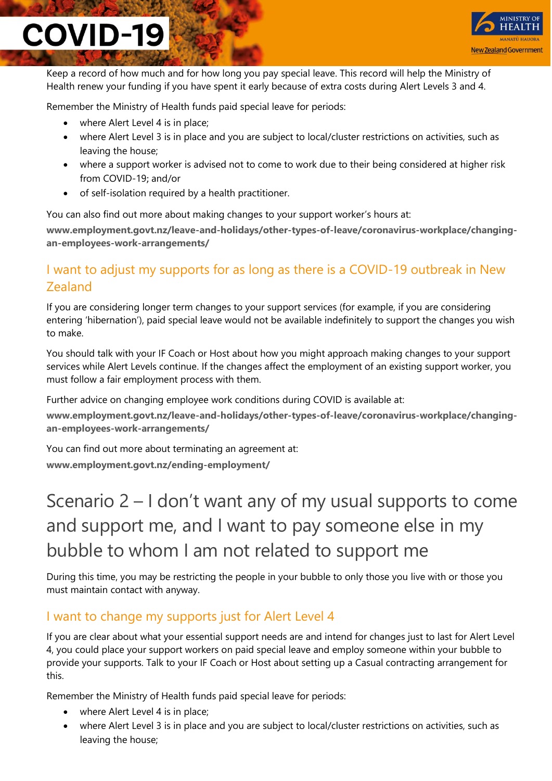

Keep a record of how much and for how long you pay special leave. This record will help the Ministry of Health renew your funding if you have spent it early because of extra costs during Alert Levels 3 and 4.

Remember the Ministry of Health funds paid special leave for periods:

- where Alert Level 4 is in place;
- where Alert Level 3 is in place and you are subject to local/cluster restrictions on activities, such as leaving the house;
- where a support worker is advised not to come to work due to their being considered at higher risk from COVID-19; and/or
- of self-isolation required by a health practitioner.

You can also find out more about making changes to your support worker's hours at:

**www.employment.govt.nz/leave-and-holidays/other-types-of-leave/coronavirus-workplace/changingan-employees-work-arrangements/**

#### I want to adjust my supports for as long as there is a COVID-19 outbreak in New Zealand

If you are considering longer term changes to your support services (for example, if you are considering entering 'hibernation'), paid special leave would not be available indefinitely to support the changes you wish to make.

You should talk with your IF Coach or Host about how you might approach making changes to your support services while Alert Levels continue. If the changes affect the employment of an existing support worker, you must follow a fair employment process with them.

Further advice on changing employee work conditions during COVID is available at:

**www.employment.govt.nz/leave-and-holidays/other-types-of-leave/coronavirus-workplace/changingan-employees-work-arrangements/**

You can find out more about terminating an agreement at: **www.employment.govt.nz/ending-employment/**

### Scenario 2 – I don't want any of my usual supports to come and support me, and I want to pay someone else in my bubble to whom I am not related to support me

During this time, you may be restricting the people in your bubble to only those you live with or those you must maintain contact with anyway.

#### I want to change my supports just for Alert Level 4

If you are clear about what your essential support needs are and intend for changes just to last for Alert Level 4, you could place your support workers on paid special leave and employ someone within your bubble to provide your supports. Talk to your IF Coach or Host about setting up a Casual contracting arrangement for this.

Remember the Ministry of Health funds paid special leave for periods:

- where Alert Level 4 is in place;
- where Alert Level 3 is in place and you are subject to local/cluster restrictions on activities, such as leaving the house;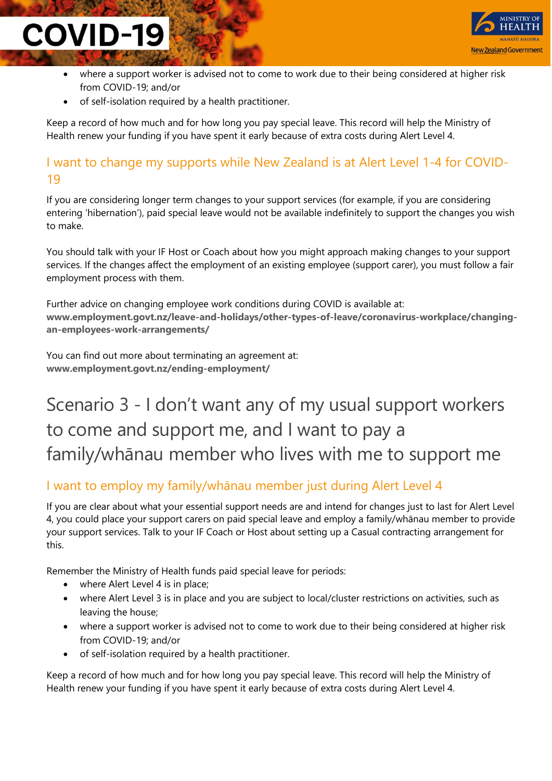

- where a support worker is advised not to come to work due to their being considered at higher risk from COVID-19; and/or
- of self-isolation required by a health practitioner.

Keep a record of how much and for how long you pay special leave. This record will help the Ministry of Health renew your funding if you have spent it early because of extra costs during Alert Level 4.

#### I want to change my supports while New Zealand is at Alert Level 1-4 for COVID-19

If you are considering longer term changes to your support services (for example, if you are considering entering 'hibernation'), paid special leave would not be available indefinitely to support the changes you wish to make.

You should talk with your IF Host or Coach about how you might approach making changes to your support services. If the changes affect the employment of an existing employee (support carer), you must follow a fair employment process with them.

Further advice on changing employee work conditions during COVID is available at: **www.employment.govt.nz/leave-and-holidays/other-types-of-leave/coronavirus-workplace/changingan-employees-work-arrangements/**

You can find out more about terminating an agreement at: **www.employment.govt.nz/ending-employment/**

### Scenario 3 - I don't want any of my usual support workers to come and support me, and I want to pay a family/whānau member who lives with me to support me

#### I want to employ my family/whānau member just during Alert Level 4

If you are clear about what your essential support needs are and intend for changes just to last for Alert Level 4, you could place your support carers on paid special leave and employ a family/whānau member to provide your support services. Talk to your IF Coach or Host about setting up a Casual contracting arrangement for this.

Remember the Ministry of Health funds paid special leave for periods:

- where Alert Level 4 is in place;
- where Alert Level 3 is in place and you are subject to local/cluster restrictions on activities, such as leaving the house;
- where a support worker is advised not to come to work due to their being considered at higher risk from COVID-19; and/or
- of self-isolation required by a health practitioner.

Keep a record of how much and for how long you pay special leave. This record will help the Ministry of Health renew your funding if you have spent it early because of extra costs during Alert Level 4.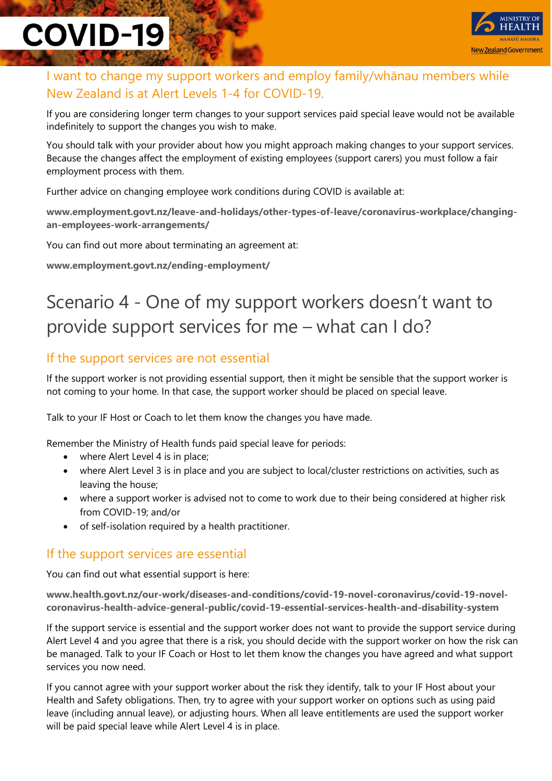

#### I want to change my support workers and employ family/whānau members while New Zealand is at Alert Levels 1-4 for COVID-19.

If you are considering longer term changes to your support services paid special leave would not be available indefinitely to support the changes you wish to make.

You should talk with your provider about how you might approach making changes to your support services. Because the changes affect the employment of existing employees (support carers) you must follow a fair employment process with them.

Further advice on changing employee work conditions during COVID is available at:

**www.employment.govt.nz/leave-and-holidays/other-types-of-leave/coronavirus-workplace/changingan-employees-work-arrangements/**

You can find out more about terminating an agreement at:

**www.employment.govt.nz/ending-employment/**

### Scenario 4 - One of my support workers doesn't want to provide support services for me – what can I do?

#### If the support services are not essential

If the support worker is not providing essential support, then it might be sensible that the support worker is not coming to your home. In that case, the support worker should be placed on special leave.

Talk to your IF Host or Coach to let them know the changes you have made.

Remember the Ministry of Health funds paid special leave for periods:

- where Alert Level 4 is in place;
- where Alert Level 3 is in place and you are subject to local/cluster restrictions on activities, such as leaving the house;
- where a support worker is advised not to come to work due to their being considered at higher risk from COVID-19; and/or
- of self-isolation required by a health practitioner.

#### If the support services are essential

You can find out what essential support is here:

**www.health.govt.nz/our-work/diseases-and-conditions/covid-19-novel-coronavirus/covid-19-novelcoronavirus-health-advice-general-public/covid-19-essential-services-health-and-disability-system**

If the support service is essential and the support worker does not want to provide the support service during Alert Level 4 and you agree that there is a risk, you should decide with the support worker on how the risk can be managed. Talk to your IF Coach or Host to let them know the changes you have agreed and what support services you now need.

If you cannot agree with your support worker about the risk they identify, talk to your IF Host about your Health and Safety obligations. Then, try to agree with your support worker on options such as using paid leave (including annual leave), or adjusting hours. When all leave entitlements are used the support worker will be paid special leave while Alert Level 4 is in place.